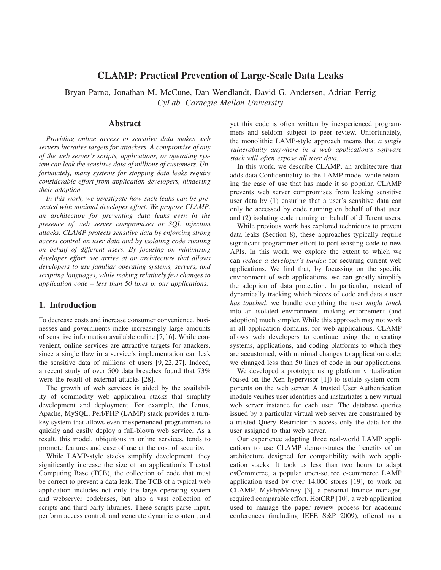# **CLAMP: Practical Prevention of Large-Scale Data Leaks**

Bryan Parno, Jonathan M. McCune, Dan Wendlandt, David G. Andersen, Adrian Perrig *CyLab, Carnegie Mellon University*

## **Abstract**

*Providing online access to sensitive data makes web servers lucrative targets for attackers. A compromise of any of the web server's scripts, applications, or operating system can leak the sensitive data of millions of customers. Unfortunately, many systems for stopping data leaks require considerable effort from application developers, hindering their adoption.*

*In this work, we investigate how such leaks can be prevented with minimal developer effort. We propose CLAMP, an architecture for preventing data leaks even in the presence of web server compromises or SQL injection attacks. CLAMP protects sensitive data by enforcing strong access control on user data and by isolating code running on behalf of different users. By focusing on minimizing developer effort, we arrive at an architecture that allows developers to use familiar operating systems, servers, and scripting languages, while making relatively few changes to application code – less than 50 lines in our applications.*

# **1. Introduction**

To decrease costs and increase consumer convenience, businesses and governments make increasingly large amounts of sensitive information available online [7,16]. While convenient, online services are attractive targets for attackers, since a single flaw in a service's implementation can leak the sensitive data of millions of users [9, 22, 27]. Indeed, a recent study of over 500 data breaches found that 73% were the result of external attacks [28].

The growth of web services is aided by the availability of commodity web application stacks that simplify development and deployment. For example, the Linux, Apache, MySQL, Perl/PHP (LAMP) stack provides a turnkey system that allows even inexperienced programmers to quickly and easily deploy a full-blown web service. As a result, this model, ubiquitous in online services, tends to promote features and ease of use at the cost of security.

While LAMP-style stacks simplify development, they significantly increase the size of an application's Trusted Computing Base (TCB), the collection of code that must be correct to prevent a data leak. The TCB of a typical web application includes not only the large operating system and webserver codebases, but also a vast collection of scripts and third-party libraries. These scripts parse input, perform access control, and generate dynamic content, and yet this code is often written by inexperienced programmers and seldom subject to peer review. Unfortunately, the monolithic LAMP-style approach means that *a single vulnerability anywhere in a web application's software stack will often expose all user data.*

In this work, we describe CLAMP, an architecture that adds data Confidentiality to the LAMP model while retaining the ease of use that has made it so popular. CLAMP prevents web server compromises from leaking sensitive user data by (1) ensuring that a user's sensitive data can only be accessed by code running on behalf of that user, and (2) isolating code running on behalf of different users.

While previous work has explored techniques to prevent data leaks (Section 8), these approaches typically require significant programmer effort to port existing code to new APIs. In this work, we explore the extent to which we can *reduce a developer's burden* for securing current web applications. We find that, by focussing on the specific environment of web applications, we can greatly simplify the adoption of data protection. In particular, instead of dynamically tracking which pieces of code and data a user *has touched*, we bundle everything the user *might touch* into an isolated environment, making enforcement (and adoption) much simpler. While this approach may not work in all application domains, for web applications, CLAMP allows web developers to continue using the operating systems, applications, and coding platforms to which they are accustomed, with minimal changes to application code; we changed less than 50 lines of code in our applications.

We developed a prototype using platform virtualization (based on the Xen hypervisor [1]) to isolate system components on the web server. A trusted User Authentication module verifies user identities and instantiates a new virtual web server instance for each user. The database queries issued by a particular virtual web server are constrained by a trusted Query Restrictor to access only the data for the user assigned to that web server.

Our experience adapting three real-world LAMP applications to use CLAMP demonstrates the benefits of an architecture designed for compatibility with web application stacks. It took us less than two hours to adapt osCommerce, a popular open-source e-commerce LAMP application used by over 14,000 stores [19], to work on CLAMP. MyPhpMoney [3], a personal finance manager, required comparable effort. HotCRP [10], a web application used to manage the paper review process for academic conferences (including IEEE S&P 2009), offered us a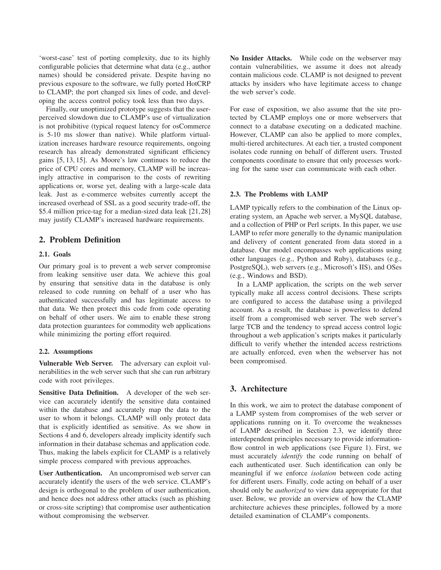'worst-case' test of porting complexity, due to its highly configurable policies that determine what data (e.g., author names) should be considered private. Despite having no previous exposure to the software, we fully ported HotCRP to CLAMP; the port changed six lines of code, and developing the access control policy took less than two days.

Finally, our unoptimized prototype suggests that the userperceived slowdown due to CLAMP's use of virtualization is not prohibitive (typical request latency for osCommerce is 5-10 ms slower than native). While platform virtualization increases hardware resource requirements, ongoing research has already demonstrated significant efficiency gains [5, 13, 15]. As Moore's law continues to reduce the price of CPU cores and memory, CLAMP will be increasingly attractive in comparison to the costs of rewriting applications or, worse yet, dealing with a large-scale data leak. Just as e-commerce websites currently accept the increased overhead of SSL as a good security trade-off, the \$5.4 million price-tag for a median-sized data leak [21,28] may justify CLAMP's increased hardware requirements.

## **2. Problem Definition**

## **2.1. Goals**

Our primary goal is to prevent a web server compromise from leaking sensitive user data. We achieve this goal by ensuring that sensitive data in the database is only released to code running on behalf of a user who has authenticated successfully and has legitimate access to that data. We then protect this code from code operating on behalf of other users. We aim to enable these strong data protection guarantees for commodity web applications while minimizing the porting effort required.

## **2.2. Assumptions**

**Vulnerable Web Server.** The adversary can exploit vulnerabilities in the web server such that she can run arbitrary code with root privileges.

**Sensitive Data Definition.** A developer of the web service can accurately identify the sensitive data contained within the database and accurately map the data to the user to whom it belongs. CLAMP will only protect data that is explicitly identified as sensitive. As we show in Sections 4 and 6, developers already implicity identify such information in their database schemas and application code. Thus, making the labels explicit for CLAMP is a relatively simple process compared with previous approaches.

**User Authentication.** An uncompromised web server can accurately identify the users of the web service. CLAMP's design is orthogonal to the problem of user authentication, and hence does not address other attacks (such as phishing or cross-site scripting) that compromise user authentication without compromising the webserver.

**No Insider Attacks.** While code on the webserver may contain vulnerabilities, we assume it does not already contain malicious code. CLAMP is not designed to prevent attacks by insiders who have legitimate access to change the web server's code.

For ease of exposition, we also assume that the site protected by CLAMP employs one or more webservers that connect to a database executing on a dedicated machine. However, CLAMP can also be applied to more complex, multi-tiered architectures. At each tier, a trusted component isolates code running on behalf of different users. Trusted components coordinate to ensure that only processes working for the same user can communicate with each other.

## **2.3. The Problems with LAMP**

LAMP typically refers to the combination of the Linux operating system, an Apache web server, a MySQL database, and a collection of PHP or Perl scripts. In this paper, we use LAMP to refer more generally to the dynamic manipulation and delivery of content generated from data stored in a database. Our model encompasses web applications using other languages (e.g., Python and Ruby), databases (e.g., PostgreSQL), web servers (e.g., Microsoft's IIS), and OSes (e.g., Windows and BSD).

In a LAMP application, the scripts on the web server typically make all access control decisions. These scripts are configured to access the database using a privileged account. As a result, the database is powerless to defend itself from a compromised web server. The web server's large TCB and the tendency to spread access control logic throughout a web application's scripts makes it particularly difficult to verify whether the intended access restrictions are actually enforced, even when the webserver has not been compromised.

## **3. Architecture**

In this work, we aim to protect the database component of a LAMP system from compromises of the web server or applications running on it. To overcome the weaknesses of LAMP described in Section 2.3, we identify three interdependent principles necessary to provide informationflow control in web applications (see Figure 1). First, we must accurately *identify* the code running on behalf of each authenticated user. Such identification can only be meaningful if we enforce *isolation* between code acting for different users. Finally, code acting on behalf of a user should only be *authorized* to view data appropriate for that user. Below, we provide an overview of how the CLAMP architecture achieves these principles, followed by a more detailed examination of CLAMP's components.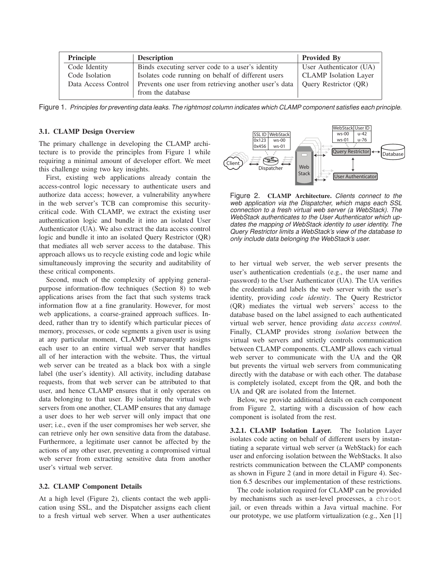| <b>Principle</b>    | <b>Description</b>                                    | <b>Provided By</b>           |
|---------------------|-------------------------------------------------------|------------------------------|
| Code Identity       | Binds executing server code to a user's identity      | User Authenticator (UA)      |
| Code Isolation      | Isolates code running on behalf of different users    | <b>CLAMP</b> Isolation Layer |
| Data Access Control | Prevents one user from retrieving another user's data | <b>Ouery Restrictor (OR)</b> |
|                     | from the database                                     |                              |

Figure 1. Principles for preventing data leaks. The rightmost column indicates which CLAMP component satisfies each principle.

### **3.1. CLAMP Design Overview**

The primary challenge in developing the CLAMP architecture is to provide the principles from Figure 1 while requiring a minimal amount of developer effort. We meet this challenge using two key insights.

First, existing web applications already contain the access-control logic necessary to authenticate users and authorize data access; however, a vulnerability anywhere in the web server's TCB can compromise this securitycritical code. With CLAMP, we extract the existing user authentication logic and bundle it into an isolated User Authenticator (UA). We also extract the data access control logic and bundle it into an isolated Query Restrictor (QR) that mediates all web server access to the database. This approach allows us to recycle existing code and logic while simultaneously improving the security and auditability of these critical components.

Second, much of the complexity of applying generalpurpose information-flow techniques (Section 8) to web applications arises from the fact that such systems track information flow at a fine granularity. However, for most web applications, a coarse-grained approach suffices. Indeed, rather than try to identify which particular pieces of memory, processes, or code segments a given user is using at any particular moment, CLAMP transparently assigns each user to an entire virtual web server that handles all of her interaction with the website. Thus, the virtual web server can be treated as a black box with a single label (the user's identity). All activity, including database requests, from that web server can be attributed to that user, and hence CLAMP ensures that it only operates on data belonging to that user. By isolating the virtual web servers from one another, CLAMP ensures that any damage a user does to her web server will only impact that one user; i.e., even if the user compromises her web server, she can retrieve only her own sensitive data from the database. Furthermore, a legitimate user cannot be affected by the actions of any other user, preventing a compromised virtual web server from extracting sensitive data from another user's virtual web server.

#### **3.2. CLAMP Component Details**

At a high level (Figure 2), clients contact the web application using SSL, and the Dispatcher assigns each client to a fresh virtual web server. When a user authenticates



Figure 2. **CLAMP Architecture.** Clients connect to the web application via the Dispatcher, which maps each SSL connection to a fresh virtual web server (a WebStack). The WebStack authenticates to the User Authenticator which updates the mapping of WebStack identity to user identity. The Query Restrictor limits a WebStack's view of the database to only include data belonging the WebStack's user.

to her virtual web server, the web server presents the user's authentication credentials (e.g., the user name and password) to the User Authenticator (UA). The UA verifies the credentials and labels the web server with the user's identity, providing *code identity*. The Query Restrictor (QR) mediates the virtual web servers' access to the database based on the label assigned to each authenticated virtual web server, hence providing *data access control*. Finally, CLAMP provides strong *isolation* between the virtual web servers and strictly controls communication between CLAMP components. CLAMP allows each virtual web server to communicate with the UA and the QR but prevents the virtual web servers from communicating directly with the database or with each other. The database is completely isolated, except from the QR, and both the UA and QR are isolated from the Internet.

Below, we provide additional details on each component from Figure 2, starting with a discussion of how each component is isolated from the rest.

**3.2.1. CLAMP Isolation Layer.** The Isolation Layer isolates code acting on behalf of different users by instantiating a separate virtual web server (a WebStack) for each user and enforcing isolation between the WebStacks. It also restricts communication between the CLAMP components as shown in Figure 2 (and in more detail in Figure 4). Section 6.5 describes our implementation of these restrictions.

The code isolation required for CLAMP can be provided by mechanisms such as user-level processes, a chroot jail, or even threads within a Java virtual machine. For our prototype, we use platform virtualization (e.g., Xen [1]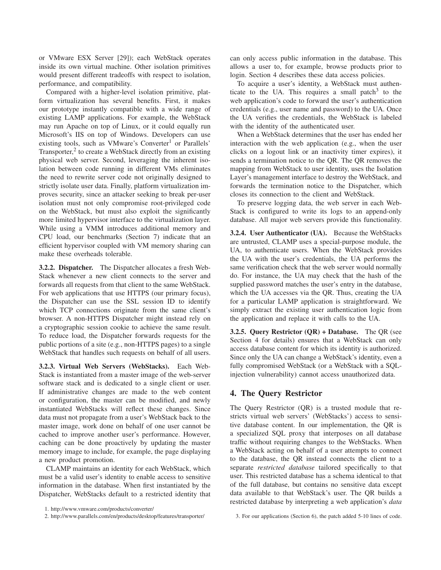or VMware ESX Server [29]); each WebStack operates inside its own virtual machine. Other isolation primitives would present different tradeoffs with respect to isolation, performance, and compatibility.

Compared with a higher-level isolation primitive, platform virtualization has several benefits. First, it makes our prototype instantly compatible with a wide range of existing LAMP applications. For example, the WebStack may run Apache on top of Linux, or it could equally run Microsoft's IIS on top of Windows. Developers can use existing tools, such as VMware's Converter<sup>1</sup> or Parallels' Transporter,<sup>2</sup> to create a WebStack directly from an existing physical web server. Second, leveraging the inherent isolation between code running in different VMs eliminates the need to rewrite server code not originally designed to strictly isolate user data. Finally, platform virtualization improves security, since an attacker seeking to break per-user isolation must not only compromise root-privileged code on the WebStack, but must also exploit the significantly more limited hypervisor interface to the virtualization layer. While using a VMM introduces additional memory and CPU load, our benchmarks (Section 7) indicate that an efficient hypervisor coupled with VM memory sharing can make these overheads tolerable.

**3.2.2. Dispatcher.** The Dispatcher allocates a fresh Web-Stack whenever a new client connects to the server and forwards all requests from that client to the same WebStack. For web applications that use HTTPS (our primary focus), the Dispatcher can use the SSL session ID to identify which TCP connections originate from the same client's browser. A non-HTTPS Dispatcher might instead rely on a cryptographic session cookie to achieve the same result. To reduce load, the Dispatcher forwards requests for the public portions of a site (e.g., non-HTTPS pages) to a single WebStack that handles such requests on behalf of all users.

**3.2.3. Virtual Web Servers (WebStacks).** Each Web-Stack is instantiated from a master image of the web-server software stack and is dedicated to a single client or user. If administrative changes are made to the web content or configuration, the master can be modified, and newly instantiated WebStacks will reflect these changes. Since data must not propagate from a user's WebStack back to the master image, work done on behalf of one user cannot be cached to improve another user's performance. However, caching can be done proactively by updating the master memory image to include, for example, the page displaying a new product promotion.

CLAMP maintains an identity for each WebStack, which must be a valid user's identity to enable access to sensitive information in the database. When first instantiated by the Dispatcher, WebStacks default to a restricted identity that

can only access public information in the database. This allows a user to, for example, browse products prior to login. Section 4 describes these data access policies.

To acquire a user's identity, a WebStack must authenticate to the UA. This requires a small patch $3$  to the web application's code to forward the user's authentication credentials (e.g., user name and password) to the UA. Once the UA verifies the credentials, the WebStack is labeled with the identity of the authenticated user.

When a WebStack determines that the user has ended her interaction with the web application (e.g., when the user clicks on a logout link or an inactivity timer expires), it sends a termination notice to the QR. The QR removes the mapping from WebStack to user identity, uses the Isolation Layer's management interface to destroy the WebStack, and forwards the termination notice to the Dispatcher, which closes its connection to the client and WebStack.

To preserve logging data, the web server in each Web-Stack is configured to write its logs to an append-only database. All major web servers provide this functionality.

**3.2.4. User Authenticator (UA).** Because the WebStacks are untrusted, CLAMP uses a special-purpose module, the UA, to authenticate users. When the WebStack provides the UA with the user's credentials, the UA performs the same verification check that the web server would normally do. For instance, the UA may check that the hash of the supplied password matches the user's entry in the database, which the UA accesses via the QR. Thus, creating the UA for a particular LAMP application is straightforward. We simply extract the existing user authentication logic from the application and replace it with calls to the UA.

**3.2.5. Query Restrictor (QR) + Database.** The QR (see Section 4 for details) ensures that a WebStack can only access database content for which its identity is authorized. Since only the UA can change a WebStack's identity, even a fully compromised WebStack (or a WebStack with a SQLinjection vulnerability) cannot access unauthorized data.

## **4. The Query Restrictor**

The Query Restrictor (QR) is a trusted module that restricts virtual web servers' (WebStacks') access to sensitive database content. In our implementation, the QR is a specialized SQL proxy that interposes on all database traffic without requiring changes to the WebStacks. When a WebStack acting on behalf of a user attempts to connect to the database, the QR instead connects the client to a separate *restricted database* tailored specifically to that user. This restricted database has a schema identical to that of the full database, but contains no sensitive data except data available to that WebStack's user. The QR builds a restricted database by interpreting a web application's *data*

<sup>1.</sup> http://www.vmware.com/products/converter/

<sup>2.</sup> http://www.parallels.com/en/products/desktop/features/transporter/

<sup>3.</sup> For our applications (Section 6), the patch added 5-10 lines of code.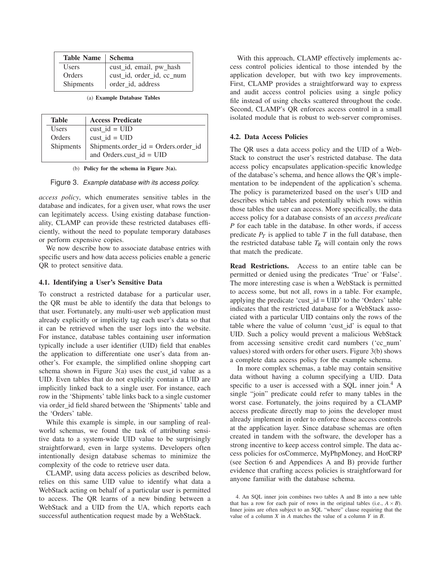| Table Name   Schema |                           |
|---------------------|---------------------------|
| <b>Users</b>        | cust_id, email, pw_hash   |
| Orders              | cust_id, order_id, cc_num |
| Shipments           | order_id, address         |

(a) **Example Database Tables**

| <b>Table</b> | <b>Access Predicate</b>              |
|--------------|--------------------------------------|
| <b>Users</b> | cust $id = UID$                      |
| Orders       | cust $id = UID$                      |
| Shipments    | Shipments.order_id = Orders.order_id |
|              | and Orders.cust_id = UID             |

(b) **Policy for the schema in Figure 3(a).**

Figure 3. Example database with its access policy.

*access policy*, which enumerates sensitive tables in the database and indicates, for a given user, what rows the user can legitimately access. Using existing database functionality, CLAMP can provide these restricted databases efficiently, without the need to populate temporary databases or perform expensive copies.

We now describe how to associate database entries with specific users and how data access policies enable a generic QR to protect sensitive data.

#### **4.1. Identifying a User's Sensitive Data**

To construct a restricted database for a particular user, the QR must be able to identify the data that belongs to that user. Fortunately, any multi-user web application must already explicitly or implicitly tag each user's data so that it can be retrieved when the user logs into the website. For instance, database tables containing user information typically include a user identifier (UID) field that enables the application to differentiate one user's data from another's. For example, the simplified online shopping cart schema shown in Figure 3(a) uses the cust id value as a UID. Even tables that do not explicitly contain a UID are implicitly linked back to a single user. For instance, each row in the 'Shipments' table links back to a single customer via order id field shared between the 'Shipments' table and the 'Orders' table.

While this example is simple, in our sampling of realworld schemas, we found the task of attributing sensitive data to a system-wide UID value to be surprisingly straightforward, even in large systems. Developers often intentionally design database schemas to minimize the complexity of the code to retrieve user data.

CLAMP, using data access policies as described below, relies on this same UID value to identify what data a WebStack acting on behalf of a particular user is permitted to access. The QR learns of a new binding between a WebStack and a UID from the UA, which reports each successful authentication request made by a WebStack.

With this approach, CLAMP effectively implements access control policies identical to those intended by the application developer, but with two key improvements. First, CLAMP provides a straightforward way to express and audit access control policies using a single policy file instead of using checks scattered throughout the code. Second, CLAMP's QR enforces access control in a small isolated module that is robust to web-server compromises.

#### **4.2. Data Access Policies**

The QR uses a data access policy and the UID of a Web-Stack to construct the user's restricted database. The data access policy encapsulates application-specific knowledge of the database's schema, and hence allows the QR's implementation to be independent of the application's schema. The policy is parameterized based on the user's UID and describes which tables and potentially which rows within those tables the user can access. More specifically, the data access policy for a database consists of an *access predicate P* for each table in the database. In other words, if access predicate  $P_T$  is applied to table  $T$  in the full database, then the restricted database table  $T_R$  will contain only the rows that match the predicate.

**Read Restrictions.** Access to an entire table can be permitted or denied using the predicates 'True' or 'False'. The more interesting case is when a WebStack is permitted to access some, but not all, rows in a table. For example, applying the predicate 'cust $_id = UID'$  to the 'Orders' table indicates that the restricted database for a WebStack associated with a particular UID contains only the rows of the table where the value of column 'cust id' is equal to that UID. Such a policy would prevent a malicious WebStack from accessing sensitive credit card numbers ('cc\_num' values) stored with orders for other users. Figure 3(b) shows a complete data access policy for the example schema.

In more complex schemas, a table may contain sensitive data without having a column specifying a UID. Data specific to a user is accessed with a SOL inner join.<sup>4</sup> A single "join" predicate could refer to many tables in the worst case. Fortunately, the joins required by a CLAMP access predicate directly map to joins the developer must already implement in order to enforce those access controls at the application layer. Since database schemas are often created in tandem with the software, the developer has a strong incentive to keep access control simple. The data access policies for osCommerce, MyPhpMoney, and HotCRP (see Section 6 and Appendices A and B) provide further evidence that crafting access policies is straightforward for anyone familiar with the database schema.

<sup>4.</sup> An SQL inner join combines two tables A and B into a new table that has a row for each pair of rows in the original tables (i.e.,  $A \times B$ ). Inner joins are often subject to an SQL "where" clause requiring that the value of a column *X* in *A* matches the value of a column *Y* in *B*.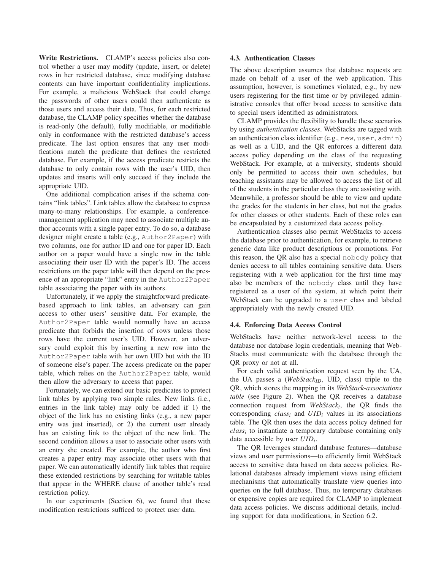Write Restrictions. CLAMP's access policies also control whether a user may modify (update, insert, or delete) rows in her restricted database, since modifying database contents can have important confidentiality implications. For example, a malicious WebStack that could change the passwords of other users could then authenticate as those users and access their data. Thus, for each restricted database, the CLAMP policy specifies whether the database is read-only (the default), fully modifiable, or modifiable only in conformance with the restricted database's access predicate. The last option ensures that any user modifications match the predicate that defines the restricted database. For example, if the access predicate restricts the database to only contain rows with the user's UID, then updates and inserts will only succeed if they include the appropriate UID.

One additional complication arises if the schema contains "link tables". Link tables allow the database to express many-to-many relationships. For example, a conferencemanagement application may need to associate multiple author accounts with a single paper entry. To do so, a database designer might create a table (e.g., Author2Paper) with two columns, one for author ID and one for paper ID. Each author on a paper would have a single row in the table associating their user ID with the paper's ID. The access restrictions on the paper table will then depend on the presence of an appropriate "link" entry in the Author2Paper table associating the paper with its authors.

Unfortunately, if we apply the straightforward predicatebased approach to link tables, an adversary can gain access to other users' sensitive data. For example, the Author2Paper table would normally have an access predicate that forbids the insertion of rows unless those rows have the current user's UID. However, an adversary could exploit this by inserting a new row into the Author2Paper table with her own UID but with the ID of someone else's paper. The access predicate on the paper table, which relies on the Author2Paper table, would then allow the adversary to access that paper.

Fortunately, we can extend our basic predicates to protect link tables by applying two simple rules. New links (i.e., entries in the link table) may only be added if 1) the object of the link has no existing links (e.g., a new paper entry was just inserted), or 2) the current user already has an existing link to the object of the new link. The second condition allows a user to associate other users with an entry she created. For example, the author who first creates a paper entry may associate other users with that paper. We can automatically identify link tables that require these extended restrictions by searching for writable tables that appear in the WHERE clause of another table's read restriction policy.

In our experiments (Section 6), we found that these modification restrictions sufficed to protect user data.

#### **4.3. Authentication Classes**

The above description assumes that database requests are made on behalf of a user of the web application. This assumption, however, is sometimes violated, e.g., by new users registering for the first time or by privileged administrative consoles that offer broad access to sensitive data to special users identified as administrators.

CLAMP provides the flexibility to handle these scenarios by using *authentication classes*. WebStacks are tagged with an authentication class identifier (e.g., new, user, admin) as well as a UID, and the QR enforces a different data access policy depending on the class of the requesting WebStack. For example, at a university, students should only be permitted to access their own schedules, but teaching assistants may be allowed to access the list of all of the students in the particular class they are assisting with. Meanwhile, a professor should be able to view and update the grades for the students in her class, but not the grades for other classes or other students. Each of these roles can be encapsulated by a customized data access policy.

Authentication classes also permit WebStacks to access the database prior to authentication, for example, to retrieve generic data like product descriptions or promotions. For this reason, the QR also has a special nobody policy that denies access to all tables containing sensitive data. Users registering with a web application for the first time may also be members of the nobody class until they have registered as a user of the system, at which point their WebStack can be upgraded to a user class and labeled appropriately with the newly created UID.

## **4.4. Enforcing Data Access Control**

WebStacks have neither network-level access to the database nor database login credentials, meaning that Web-Stacks must communicate with the database through the QR proxy or not at all.

For each valid authentication request seen by the UA, the UA passes a (*WebStackID*, UID, class) triple to the QR, which stores the mapping in its *WebStack-associations table* (see Figure 2). When the QR receives a database connection request from *WebStack<sup>i</sup>* , the QR finds the corresponding *class<sup>i</sup>* and *UID<sup>i</sup>* values in its associations table. The QR then uses the data access policy defined for *class<sup>i</sup>* to instantiate a temporary database containing only data accessible by user *UID<sup>i</sup>* .

The QR leverages standard database features—database views and user permissions—to efficiently limit WebStack access to sensitive data based on data access policies. Relational databases already implement views using efficient mechanisms that automatically translate view queries into queries on the full database. Thus, no temporary databases or expensive copies are required for CLAMP to implement data access policies. We discuss additional details, including support for data modifications, in Section 6.2.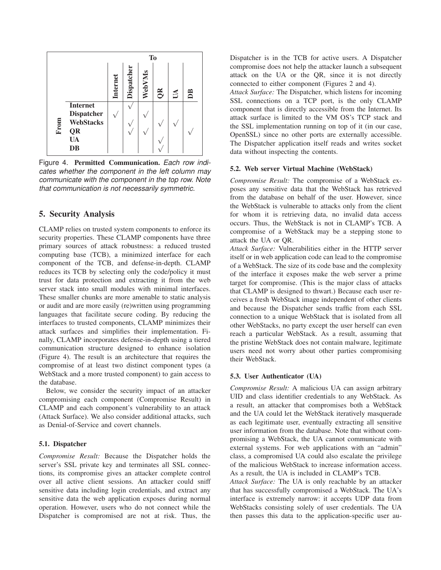

Figure 4. **Permitted Communication.** Each row indicates whether the component in the left column may communicate with the component in the top row. Note that communication is not necessarily symmetric.

## **5. Security Analysis**

CLAMP relies on trusted system components to enforce its security properties. These CLAMP components have three primary sources of attack robustness: a reduced trusted computing base (TCB), a minimized interface for each component of the TCB, and defense-in-depth. CLAMP reduces its TCB by selecting only the code/policy it must trust for data protection and extracting it from the web server stack into small modules with minimal interfaces. These smaller chunks are more amenable to static analysis or audit and are more easily (re)written using programming languages that facilitate secure coding. By reducing the interfaces to trusted components, CLAMP minimizes their attack surfaces and simplifies their implementation. Finally, CLAMP incorporates defense-in-depth using a tiered communication structure designed to enhance isolation (Figure 4). The result is an architecture that requires the compromise of at least two distinct component types (a WebStack and a more trusted component) to gain access to the database.

Below, we consider the security impact of an attacker compromising each component (Compromise Result) in CLAMP and each component's vulnerability to an attack (Attack Surface). We also consider additional attacks, such as Denial-of-Service and covert channels.

#### **5.1. Dispatcher**

*Compromise Result:* Because the Dispatcher holds the server's SSL private key and terminates all SSL connections, its compromise gives an attacker complete control over all active client sessions. An attacker could sniff sensitive data including login credentials, and extract any sensitive data the web application exposes during normal operation. However, users who do not connect while the Dispatcher is compromised are not at risk. Thus, the

Dispatcher is in the TCB for active users. A Dispatcher compromise does not help the attacker launch a subsequent attack on the UA or the QR, since it is not directly connected to either component (Figures 2 and 4).

*Attack Surface:* The Dispatcher, which listens for incoming SSL connections on a TCP port, is the only CLAMP component that is directly accessible from the Internet. Its attack surface is limited to the VM OS's TCP stack and the SSL implementation running on top of it (in our case, OpenSSL) since no other ports are externally accessible. The Dispatcher application itself reads and writes socket data without inspecting the contents.

#### **5.2. Web server Virtual Machine (WebStack)**

*Compromise Result:* The compromise of a WebStack exposes any sensitive data that the WebStack has retrieved from the database on behalf of the user. However, since the WebStack is vulnerable to attacks only from the client for whom it is retrieving data, no invalid data access occurs. Thus, the WebStack is not in CLAMP's TCB. A compromise of a WebStack may be a stepping stone to attack the UA or QR.

*Attack Surface:* Vulnerabilities either in the HTTP server itself or in web application code can lead to the compromise of a WebStack. The size of its code base and the complexity of the interface it exposes make the web server a prime target for compromise. (This is the major class of attacks that CLAMP is designed to thwart.) Because each user receives a fresh WebStack image independent of other clients and because the Dispatcher sends traffic from each SSL connection to a unique WebStack that is isolated from all other WebStacks, no party except the user herself can even reach a particular WebStack. As a result, assuming that the pristine WebStack does not contain malware, legitimate users need not worry about other parties compromising their WebStack.

#### **5.3. User Authenticator (UA)**

*Compromise Result:* A malicious UA can assign arbitrary UID and class identifier credentials to any WebStack. As a result, an attacker that compromises both a WebStack and the UA could let the WebStack iteratively masquerade as each legitimate user, eventually extracting all sensitive user information from the database. Note that without compromising a WebStack, the UA cannot communicate with external systems. For web applications with an "admin" class, a compromised UA could also escalate the privilege of the malicious WebStack to increase information access. As a result, the UA is included in CLAMP's TCB.

*Attack Surface:* The UA is only reachable by an attacker that has successfully compromised a WebStack. The UA's interface is extremely narrow: it accepts UDP data from WebStacks consisting solely of user credentials. The UA then passes this data to the application-specific user au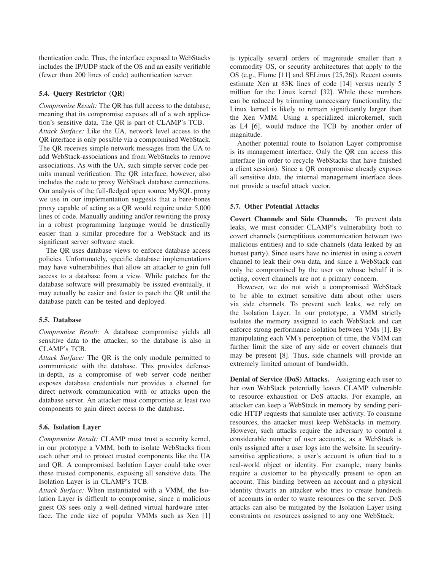thentication code. Thus, the interface exposed to WebStacks includes the IP/UDP stack of the OS and an easily verifiable (fewer than 200 lines of code) authentication server.

## **5.4. Query Restrictor (QR)**

*Compromise Result:* The QR has full access to the database, meaning that its compromise exposes all of a web application's sensitive data. The QR is part of CLAMP's TCB. *Attack Surface:* Like the UA, network level access to the QR interface is only possible via a compromised WebStack. The QR receives simple network messages from the UA to add WebStack-associations and from WebStacks to remove associations. As with the UA, such simple server code permits manual verification. The QR interface, however, also includes the code to proxy WebStack database connections. Our analysis of the full-fledged open source MySQL proxy we use in our implementation suggests that a bare-bones proxy capable of acting as a QR would require under 5,000 lines of code. Manually auditing and/or rewriting the proxy in a robust programming language would be drastically easier than a similar procedure for a WebStack and its significant server software stack.

The QR uses database views to enforce database access policies. Unfortunately, specific database implementations may have vulnerabilities that allow an attacker to gain full access to a database from a view. While patches for the database software will presumably be issued eventually, it may actually be easier and faster to patch the QR until the database patch can be tested and deployed.

## **5.5. Database**

*Compromise Result:* A database compromise yields all sensitive data to the attacker, so the database is also in CLAMP's TCB.

*Attack Surface:* The QR is the only module permitted to communicate with the database. This provides defensein-depth, as a compromise of web server code neither exposes database credentials nor provides a channel for direct network communication with or attacks upon the database server. An attacker must compromise at least two components to gain direct access to the database.

#### **5.6. Isolation Layer**

*Compromise Result:* CLAMP must trust a security kernel, in our prototype a VMM, both to isolate WebStacks from each other and to protect trusted components like the UA and QR. A compromised Isolation Layer could take over these trusted components, exposing all sensitive data. The Isolation Layer is in CLAMP's TCB.

*Attack Surface:* When instantiated with a VMM, the Isolation Layer is difficult to compromise, since a malicious guest OS sees only a well-defined virtual hardware interface. The code size of popular VMMs such as Xen [1]

is typically several orders of magnitude smaller than a commodity OS, or security architectures that apply to the OS (e.g., Flume [11] and SELinux [25,26]). Recent counts estimate Xen at 83K lines of code [14] versus nearly 5 million for the Linux kernel [32]. While these numbers can be reduced by trimming unnecessary functionality, the Linux kernel is likely to remain significantly larger than the Xen VMM. Using a specialized microkernel, such as L4 [6], would reduce the TCB by another order of magnitude.

Another potential route to Isolation Layer compromise is its management interface. Only the QR can access this interface (in order to recycle WebStacks that have finished a client session). Since a QR compromise already exposes all sensitive data, the internal management interface does not provide a useful attack vector.

#### **5.7. Other Potential Attacks**

**Covert Channels and Side Channels.** To prevent data leaks, we must consider CLAMP's vulnerability both to covert channels (surreptitious communication between two malicious entities) and to side channels (data leaked by an honest party). Since users have no interest in using a covert channel to leak their own data, and since a WebStack can only be compromised by the user on whose behalf it is acting, covert channels are not a primary concern.

However, we do not wish a compromised WebStack to be able to extract sensitive data about other users via side channels. To prevent such leaks, we rely on the Isolation Layer. In our prototype, a VMM strictly isolates the memory assigned to each WebStack and can enforce strong performance isolation between VMs [1]. By manipulating each VM's perception of time, the VMM can further limit the size of any side or covert channels that may be present [8]. Thus, side channels will provide an extremely limited amount of bandwidth.

**Denial of Service (DoS) Attacks.** Assigning each user to her own WebStack potentially leaves CLAMP vulnerable to resource exhaustion or DoS attacks. For example, an attacker can keep a WebStack in memory by sending periodic HTTP requests that simulate user activity. To consume resources, the attacker must keep WebStacks in memory. However, such attacks require the adversary to control a considerable number of user accounts, as a WebStack is only assigned after a user logs into the website. In securitysensitive applications, a user's account is often tied to a real-world object or identity. For example, many banks require a customer to be physically present to open an account. This binding between an account and a physical identity thwarts an attacker who tries to create hundreds of accounts in order to waste resources on the server. DoS attacks can also be mitigated by the Isolation Layer using constraints on resources assigned to any one WebStack.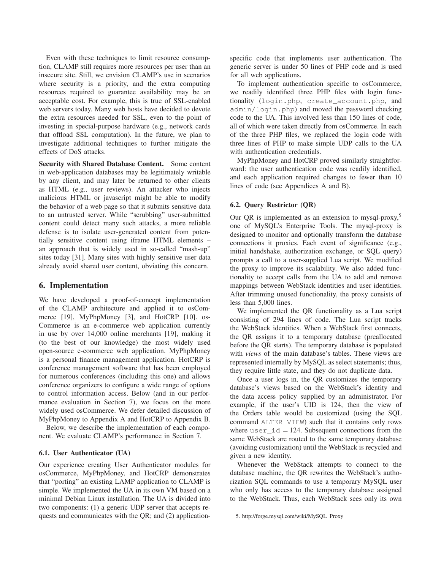Even with these techniques to limit resource consumption, CLAMP still requires more resources per user than an insecure site. Still, we envision CLAMP's use in scenarios where security is a priority, and the extra computing resources required to guarantee availability may be an acceptable cost. For example, this is true of SSL-enabled web servers today. Many web hosts have decided to devote the extra resources needed for SSL, even to the point of investing in special-purpose hardware (e.g., network cards that offload SSL computation). In the future, we plan to investigate additional techniques to further mitigate the effects of DoS attacks.

**Security with Shared Database Content.** Some content in web-application databases may be legitimately writable by any client, and may later be returned to other clients as HTML (e.g., user reviews). An attacker who injects malicious HTML or javascript might be able to modify the behavior of a web page so that it submits sensitive data to an untrusted server. While "scrubbing" user-submitted content could detect many such attacks, a more reliable defense is to isolate user-generated content from potentially sensitive content using iframe HTML elements – an approach that is widely used in so-called "mash-up" sites today [31]. Many sites with highly sensitive user data already avoid shared user content, obviating this concern.

## **6. Implementation**

We have developed a proof-of-concept implementation of the CLAMP architecture and applied it to osCommerce [19], MyPhpMoney [3], and HotCRP [10]. os-Commerce is an e-commerce web application currently in use by over 14,000 online merchants [19], making it (to the best of our knowledge) the most widely used open-source e-commerce web application. MyPhpMoney is a personal finance management application. HotCRP is conference management software that has been employed for numerous conferences (including this one) and allows conference organizers to configure a wide range of options to control information access. Below (and in our performance evaluation in Section 7), we focus on the more widely used osCommerce. We defer detailed discussion of MyPhpMoney to Appendix A and HotCRP to Appendix B.

Below, we describe the implementation of each component. We evaluate CLAMP's performance in Section 7.

#### **6.1. User Authenticator (UA)**

Our experience creating User Authenticator modules for osCommerce, MyPhpMoney, and HotCRP demonstrates that "porting" an existing LAMP application to CLAMP is simple. We implemented the UA in its own VM based on a minimal Debian Linux installation. The UA is divided into two components: (1) a generic UDP server that accepts requests and communicates with the QR; and (2) application-

specific code that implements user authentication. The generic server is under 50 lines of PHP code and is used for all web applications.

To implement authentication specific to osCommerce, we readily identified three PHP files with login functionality (login.php, create\_account.php, and admin/login.php) and moved the password checking code to the UA. This involved less than 150 lines of code, all of which were taken directly from osCommerce. In each of the three PHP files, we replaced the login code with three lines of PHP to make simple UDP calls to the UA with authentication credentials.

MyPhpMoney and HotCRP proved similarly straightforward: the user authentication code was readily identified, and each application required changes to fewer than 10 lines of code (see Appendices A and B).

#### **6.2. Query Restrictor (QR)**

Our QR is implemented as an extension to mysql-proxy, $5$ one of MySQL's Enterprise Tools. The mysql-proxy is designed to monitor and optionally transform the database connections it proxies. Each event of significance (e.g., initial handshake, authorization exchange, or SQL query) prompts a call to a user-supplied Lua script. We modified the proxy to improve its scalability. We also added functionality to accept calls from the UA to add and remove mappings between WebStack identities and user identities. After trimming unused functionality, the proxy consists of less than 5,000 lines.

We implemented the QR functionality as a Lua script consisting of 294 lines of code. The Lua script tracks the WebStack identities. When a WebStack first connects, the QR assigns it to a temporary database (preallocated before the QR starts). The temporary database is populated with *views* of the main database's tables. These views are represented internally by MySQL as select statements; thus, they require little state, and they do not duplicate data.

Once a user logs in, the QR customizes the temporary database's views based on the WebStack's identity and the data access policy supplied by an administrator. For example, if the user's UID is 124, then the view of the Orders table would be customized (using the SQL command ALTER VIEW) such that it contains only rows where  $user_id = 124$ . Subsequent connections from the same WebStack are routed to the same temporary database (avoiding customization) until the WebStack is recycled and given a new identity.

Whenever the WebStack attempts to connect to the database machine, the QR rewrites the WebStack's authorization SQL commands to use a temporary MySQL user who only has access to the temporary database assigned to the WebStack. Thus, each WebStack sees only its own

<sup>5.</sup> http://forge.mysql.com/wiki/MySQL Proxy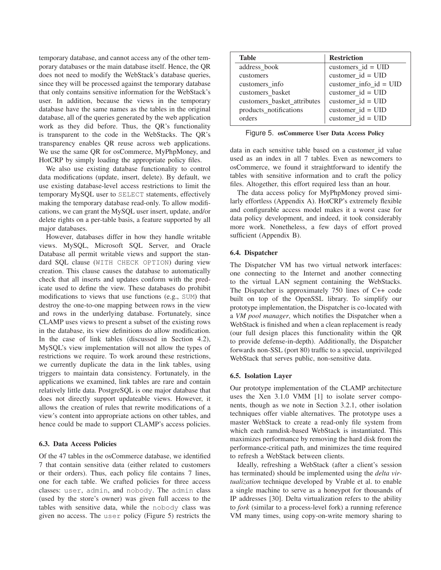temporary database, and cannot access any of the other temporary databases or the main database itself. Hence, the QR does not need to modify the WebStack's database queries, since they will be processed against the temporary database that only contains sensitive information for the WebStack's user. In addition, because the views in the temporary database have the same names as the tables in the original database, all of the queries generated by the web application work as they did before. Thus, the QR's functionality is transparent to the code in the WebStacks. The QR's transparency enables QR reuse across web applications. We use the same QR for osCommerce, MyPhpMoney, and HotCRP by simply loading the appropriate policy files.

We also use existing database functionality to control data modifications (update, insert, delete). By default, we use existing database-level access restrictions to limit the temporary MySQL user to SELECT statements, effectively making the temporary database read-only. To allow modifications, we can grant the MySQL user insert, update, and/or delete rights on a per-table basis, a feature supported by all major databases.

However, databases differ in how they handle writable views. MySQL, Microsoft SQL Server, and Oracle Database all permit writable views and support the standard SQL clause (WITH CHECK OPTION) during view creation. This clause causes the database to automatically check that all inserts and updates conform with the predicate used to define the view. These databases do prohibit modifications to views that use functions (e.g., SUM) that destroy the one-to-one mapping between rows in the view and rows in the underlying database. Fortunately, since CLAMP uses views to present a subset of the existing rows in the database, its view definitions do allow modification. In the case of link tables (discussed in Section 4.2), MySQL's view implementation will not allow the types of restrictions we require. To work around these restrictions, we currently duplicate the data in the link tables, using triggers to maintain data consistency. Fortunately, in the applications we examined, link tables are rare and contain relatively little data. PostgreSQL is one major database that does not directly support updateable views. However, it allows the creation of rules that rewrite modifications of a view's content into appropriate actions on other tables, and hence could be made to support CLAMP's access policies.

#### **6.3. Data Access Policies**

Of the 47 tables in the osCommerce database, we identified 7 that contain sensitive data (either related to customers or their orders). Thus, each policy file contains 7 lines, one for each table. We crafted policies for three access classes: user, admin, and nobody. The admin class (used by the store's owner) was given full access to the tables with sensitive data, while the nobody class was given no access. The user policy (Figure 5) restricts the

| <b>Table</b>                | <b>Restriction</b>                |
|-----------------------------|-----------------------------------|
| address_book                | customers_id = $UID$              |
| customers                   | $\text{customer_id} = \text{UID}$ |
| customers info              | customer_info_id = $UID$          |
| customers basket            | customer $id = UID$               |
| customers_basket_attributes | customer $id = UID$               |
| products_notifications      | customer_id = $UID$               |
| orders                      | customer $id = UID$               |

Figure 5. **osCommerce User Data Access Policy**

data in each sensitive table based on a customer id value used as an index in all 7 tables. Even as newcomers to osCommerce, we found it straightforward to identify the tables with sensitive information and to craft the policy files. Altogether, this effort required less than an hour.

The data access policy for MyPhpMoney proved similarly effortless (Appendix A). HotCRP's extremely flexible and configurable access model makes it a worst case for data policy development, and indeed, it took considerably more work. Nonetheless, a few days of effort proved sufficient (Appendix B).

## **6.4. Dispatcher**

The Dispatcher VM has two virtual network interfaces: one connecting to the Internet and another connecting to the virtual LAN segment containing the WebStacks. The Dispatcher is approximately 750 lines of C++ code built on top of the OpenSSL library. To simplify our prototype implementation, the Dispatcher is co-located with a *VM pool manager*, which notifies the Dispatcher when a WebStack is finished and when a clean replacement is ready (our full design places this functionality within the QR to provide defense-in-depth). Additionally, the Dispatcher forwards non-SSL (port 80) traffic to a special, unprivileged WebStack that serves public, non-sensitive data.

#### **6.5. Isolation Layer**

Our prototype implementation of the CLAMP architecture uses the Xen 3.1.0 VMM [1] to isolate server components, though as we note in Section 3.2.1, other isolation techniques offer viable alternatives. The prototype uses a master WebStack to create a read-only file system from which each ramdisk-based WebStack is instantiated. This maximizes performance by removing the hard disk from the performance-critical path, and minimizes the time required to refresh a WebStack between clients.

Ideally, refreshing a WebStack (after a client's session has terminated) should be implemented using the *delta virtualization* technique developed by Vrable et al. to enable a single machine to serve as a honeypot for thousands of IP addresses [30]. Delta virtualization refers to the ability to *fork* (similar to a process-level fork) a running reference VM many times, using copy-on-write memory sharing to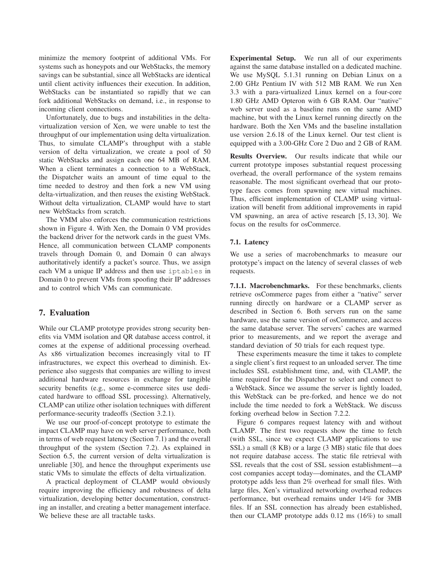minimize the memory footprint of additional VMs. For systems such as honeypots and our WebStacks, the memory savings can be substantial, since all WebStacks are identical until client activity influences their execution. In addition, WebStacks can be instantiated so rapidly that we can fork additional WebStacks on demand, i.e., in response to incoming client connections.

Unfortunately, due to bugs and instabilities in the deltavirtualization version of Xen, we were unable to test the throughput of our implementation using delta virtualization. Thus, to simulate CLAMP's throughput with a stable version of delta virtualization, we create a pool of 50 static WebStacks and assign each one 64 MB of RAM. When a client terminates a connection to a WebStack, the Dispatcher waits an amount of time equal to the time needed to destroy and then fork a new VM using delta-virtualization, and then reuses the existing WebStack. Without delta virtualization, CLAMP would have to start new WebStacks from scratch.

The VMM also enforces the communication restrictions shown in Figure 4. With Xen, the Domain 0 VM provides the backend driver for the network cards in the guest VMs. Hence, all communication between CLAMP components travels through Domain 0, and Domain 0 can always authoritatively identify a packet's source. Thus, we assign each VM a unique IP address and then use iptables in Domain 0 to prevent VMs from spoofing their IP addresses and to control which VMs can communicate.

# **7. Evaluation**

While our CLAMP prototype provides strong security benefits via VMM isolation and QR database access control, it comes at the expense of additional processing overhead. As x86 virtualization becomes increasingly vital to IT infrastructures, we expect this overhead to diminish. Experience also suggests that companies are willing to invest additional hardware resources in exchange for tangible security benefits (e.g., some e-commerce sites use dedicated hardware to offload SSL processing). Alternatively, CLAMP can utilize other isolation techniques with different performance-security tradeoffs (Section 3.2.1).

We use our proof-of-concept prototype to estimate the impact CLAMP may have on web server performance, both in terms of web request latency (Section 7.1) and the overall throughput of the system (Section 7.2). As explained in Section 6.5, the current version of delta virtualization is unreliable [30], and hence the throughput experiments use static VMs to simulate the effects of delta virtualization.

A practical deployment of CLAMP would obviously require improving the efficiency and robustness of delta virtualization, developing better documentation, constructing an installer, and creating a better management interface. We believe these are all tractable tasks.

**Experimental Setup.** We run all of our experiments against the same database installed on a dedicated machine. We use MySQL 5.1.31 running on Debian Linux on a 2.00 GHz Pentium IV with 512 MB RAM. We run Xen 3.3 with a para-virtualized Linux kernel on a four-core 1.80 GHz AMD Opteron with 6 GB RAM. Our "native" web server used as a baseline runs on the same AMD machine, but with the Linux kernel running directly on the hardware. Both the Xen VMs and the baseline installation use version 2.6.18 of the Linux kernel. Our test client is equipped with a 3.00-GHz Core 2 Duo and 2 GB of RAM.

**Results Overview.** Our results indicate that while our current prototype imposes substantial request processing overhead, the overall performance of the system remains reasonable. The most significant overhead that our prototype faces comes from spawning new virtual machines. Thus, efficient implementation of CLAMP using virtualization will benefit from additional improvements in rapid VM spawning, an area of active research [5, 13, 30]. We focus on the results for osCommerce.

## **7.1. Latency**

We use a series of macrobenchmarks to measure our prototype's impact on the latency of several classes of web requests.

**7.1.1. Macrobenchmarks.** For these benchmarks, clients retrieve osCommerce pages from either a "native" server running directly on hardware or a CLAMP server as described in Section 6. Both servers run on the same hardware, use the same version of osCommerce, and access the same database server. The servers' caches are warmed prior to measurements, and we report the average and standard deviation of 50 trials for each request type.

These experiments measure the time it takes to complete a single client's first request to an unloaded server. The time includes SSL establishment time, and, with CLAMP, the time required for the Dispatcher to select and connect to a WebStack. Since we assume the server is lightly loaded, this WebStack can be pre-forked, and hence we do not include the time needed to fork a WebStack. We discuss forking overhead below in Section 7.2.2.

Figure 6 compares request latency with and without CLAMP. The first two requests show the time to fetch (with SSL, since we expect CLAMP applications to use SSL) a small (8 KB) or a large (3 MB) static file that does not require database access. The static file retrieval with SSL reveals that the cost of SSL session establishment—a cost companies accept today—dominates, and the CLAMP prototype adds less than 2% overhead for small files. With large files, Xen's virtualized networking overhead reduces performance, but overhead remains under 14% for 3MB files. If an SSL connection has already been established, then our CLAMP prototype adds 0.12 ms (16%) to small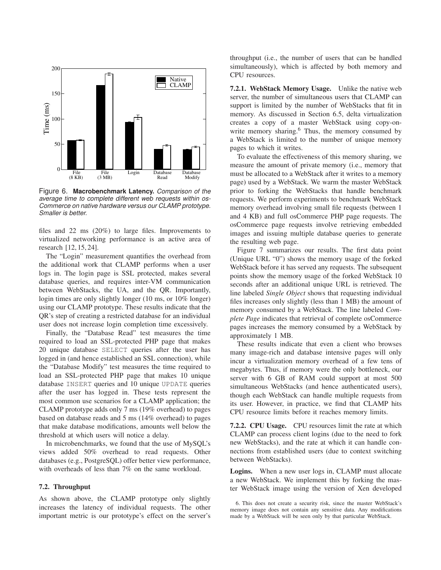

Figure 6. **Macrobenchmark Latency.** Comparison of the average time to complete different web requests within os-Commerce on native hardware versus our CLAMP prototype. Smaller is better.

files and 22 ms (20%) to large files. Improvements to virtualized networking performance is an active area of research [12, 15, 24].

The "Login" measurement quantifies the overhead from the additional work that CLAMP performs when a user logs in. The login page is SSL protected, makes several database queries, and requires inter-VM communication between WebStacks, the UA, and the QR. Importantly, login times are only slightly longer (10 ms, or 10% longer) using our CLAMP prototype. These results indicate that the QR's step of creating a restricted database for an individual user does not increase login completion time excessively.

Finally, the "Database Read" test measures the time required to load an SSL-protected PHP page that makes 20 unique database SELECT queries after the user has logged in (and hence established an SSL connection), while the "Database Modify" test measures the time required to load an SSL-protected PHP page that makes 10 unique database INSERT queries and 10 unique UPDATE queries after the user has logged in. These tests represent the most common use scenarios for a CLAMP application; the CLAMP prototype adds only 7 ms (19% overhead) to pages based on database reads and 5 ms (14% overhead) to pages that make database modifications, amounts well below the threshold at which users will notice a delay.

In microbenchmarks, we found that the use of MySQL's views added 50% overhead to read requests. Other databases (e.g., PostgreSQL) offer better view performance, with overheads of less than 7% on the same workload.

## **7.2. Throughput**

As shown above, the CLAMP prototype only slightly increases the latency of individual requests. The other important metric is our prototype's effect on the server's throughput (i.e., the number of users that can be handled simultaneously), which is affected by both memory and CPU resources.

**7.2.1. WebStack Memory Usage.** Unlike the native web server, the number of simultaneous users that CLAMP can support is limited by the number of WebStacks that fit in memory. As discussed in Section 6.5, delta virtualization creates a copy of a master WebStack using copy-onwrite memory sharing.<sup>6</sup> Thus, the memory consumed by a WebStack is limited to the number of unique memory pages to which it writes.

To evaluate the effectiveness of this memory sharing, we measure the amount of private memory (i.e., memory that must be allocated to a WebStack after it writes to a memory page) used by a WebStack. We warm the master WebStack prior to forking the WebStacks that handle benchmark requests. We perform experiments to benchmark WebStack memory overhead involving small file requests (between 1 and 4 KB) and full osCommerce PHP page requests. The osCommerce page requests involve retrieving embedded images and issuing multiple database queries to generate the resulting web page.

Figure 7 summarizes our results. The first data point (Unique URL "0") shows the memory usage of the forked WebStack before it has served any requests. The subsequent points show the memory usage of the forked WebStack 10 seconds after an additional unique URL is retrieved. The line labeled *Single Object* shows that requesting individual files increases only slightly (less than 1 MB) the amount of memory consumed by a WebStack. The line labeled *Complete Page* indicates that retrieval of complete osCommerce pages increases the memory consumed by a WebStack by approximately 1 MB.

These results indicate that even a client who browses many image-rich and database intensive pages will only incur a virtualization memory overhead of a few tens of megabytes. Thus, if memory were the only bottleneck, our server with 6 GB of RAM could support at most 500 simultaneous WebStacks (and hence authenticated users), though each WebStack can handle multiple requests from its user. However, in practice, we find that CLAMP hits CPU resource limits before it reaches memory limits.

**7.2.2. CPU Usage.** CPU resources limit the rate at which CLAMP can process client logins (due to the need to fork new WebStacks), and the rate at which it can handle connections from established users (due to context switching between WebStacks).

**Logins.** When a new user logs in, CLAMP must allocate a new WebStack. We implement this by forking the master WebStack image using the version of Xen developed

<sup>6.</sup> This does not create a security risk, since the master WebStack's memory image does not contain any sensitive data. Any modifications made by a WebStack will be seen only by that particular WebStack.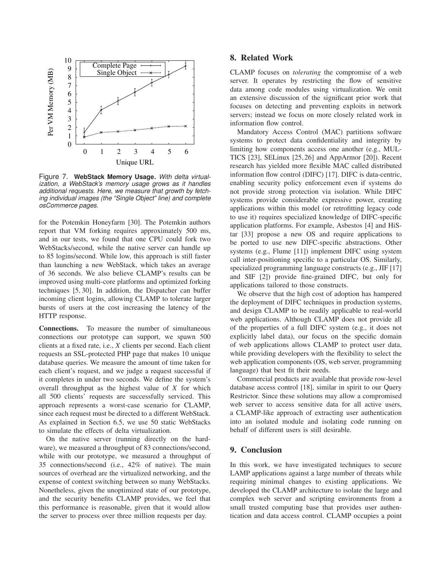

Figure 7. **WebStack Memory Usage.** With delta virtualization, a WebStack's memory usage grows as it handles additional requests. Here, we measure that growth by fetching individual images (the "Single Object" line) and complete osCommerce pages.

for the Potemkin Honeyfarm [30]. The Potemkin authors report that VM forking requires approximately 500 ms, and in our tests, we found that one CPU could fork two WebStacks/second, while the native server can handle up to 85 logins/second. While low, this approach is still faster than launching a new WebStack, which takes an average of 36 seconds. We also believe CLAMP's results can be improved using multi-core platforms and optimized forking techniques [5, 30]. In addition, the Dispatcher can buffer incoming client logins, allowing CLAMP to tolerate larger bursts of users at the cost increasing the latency of the HTTP response.

**Connections.** To measure the number of simultaneous connections our prototype can support, we spawn 500 clients at a fixed rate, i.e., *X* clients per second. Each client requests an SSL-protected PHP page that makes 10 unique database queries. We measure the amount of time taken for each client's request, and we judge a request successful if it completes in under two seconds. We define the system's overall throughput as the highest value of *X* for which all 500 clients' requests are successfully serviced. This approach represents a worst-case scenario for CLAMP, since each request must be directed to a different WebStack. As explained in Section 6.5, we use 50 static WebStacks to simulate the effects of delta virtualization.

On the native server (running directly on the hardware), we measured a throughput of 83 connections/second, while with our prototype, we measured a throughput of 35 connections/second (i.e., 42% of native). The main sources of overhead are the virtualized networking, and the expense of context switching between so many WebStacks. Nonetheless, given the unoptimized state of our prototype, and the security benefits CLAMP provides, we feel that this performance is reasonable, given that it would allow the server to process over three million requests per day.

## **8. Related Work**

CLAMP focuses on *tolerating* the compromise of a web server. It operates by restricting the flow of sensitive data among code modules using virtualization. We omit an extensive discussion of the significant prior work that focuses on detecting and preventing exploits in network servers; instead we focus on more closely related work in information flow control.

Mandatory Access Control (MAC) partitions software systems to protect data confidentiality and integrity by limiting how components access one another (e.g., MUL-TICS [23], SELinux [25,26] and AppArmor [20]). Recent research has yielded more flexible MAC called distributed information flow control (DIFC) [17]. DIFC is data-centric, enabling security policy enforcement even if systems do not provide strong protection via isolation. While DIFC systems provide considerable expressive power, creating applications within this model (or retrofitting legacy code to use it) requires specialized knowledge of DIFC-specific application platforms. For example, Asbestos [4] and HiStar [33] propose a new OS and require applications to be ported to use new DIFC-specific abstractions. Other systems (e.g., Flume [11]) implement DIFC using system call inter-positioning specific to a particular OS. Similarly, specialized programming language constructs (e.g., JIF [17] and SIF [2]) provide fine-grained DIFC, but only for applications tailored to those constructs.

We observe that the high cost of adoption has hampered the deployment of DIFC techniques in production systems, and design CLAMP to be readily applicable to real-world web applications. Although CLAMP does not provide all of the properties of a full DIFC system (e.g., it does not explicitly label data), our focus on the specific domain of web applications allows CLAMP to protect user data, while providing developers with the flexibility to select the web application components (OS, web server, programming language) that best fit their needs.

Commercial products are available that provide row-level database access control [18], similar in spirit to our Query Restrictor. Since these solutions may allow a compromised web server to access sensitive data for all active users, a CLAMP-like approach of extracting user authentication into an isolated module and isolating code running on behalf of different users is still desirable.

## **9. Conclusion**

In this work, we have investigated techniques to secure LAMP applications against a large number of threats while requiring minimal changes to existing applications. We developed the CLAMP architecture to isolate the large and complex web server and scripting environments from a small trusted computing base that provides user authentication and data access control. CLAMP occupies a point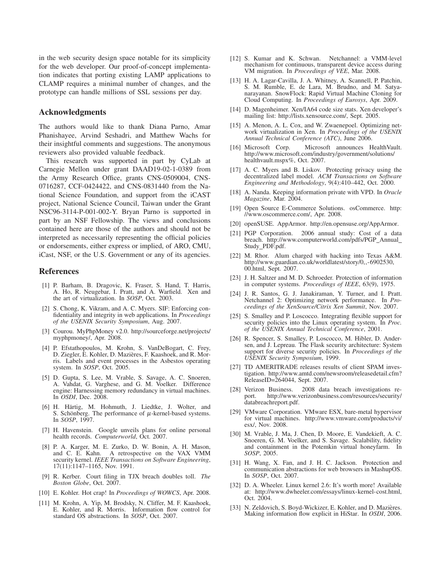in the web security design space notable for its simplicity for the web developer. Our proof-of-concept implementation indicates that porting existing LAMP applications to CLAMP requires a minimal number of changes, and the prototype can handle millions of SSL sessions per day.

## **Acknowledgments**

The authors would like to thank Diana Parno, Amar Phanishayee, Arvind Seshadri, and Matthew Wachs for their insightful comments and suggestions. The anonymous reviewers also provided valuable feedback.

This research was supported in part by CyLab at Carnegie Mellon under grant DAAD19-02-1-0389 from the Army Research Office, grants CNS-0509004, CNS-0716287, CCF-0424422, and CNS-0831440 from the National Science Foundation, and support from the iCAST project, National Science Council, Taiwan under the Grant NSC96-3114-P-001-002-Y. Bryan Parno is supported in part by an NSF Fellowship. The views and conclusions contained here are those of the authors and should not be interpreted as necessarily representing the official policies or endorsements, either express or implied, of ARO, CMU, iCast, NSF, or the U.S. Government or any of its agencies.

#### **References**

- [1] P. Barham, B. Dragovic, K. Fraser, S. Hand, T. Harris, A. Ho, R. Neugebar, I. Pratt, and A. Warfield. Xen and the art of virtualization. In *SOSP*, Oct. 2003.
- [2] S. Chong, K. Vikram, and A. C. Myers. SIF: Enforcing confidentiality and integrity in web applications. In *Proceedings of the USENIX Security Symposium*, Aug. 2007.
- [3] Courou. MyPhpMoney v2.0. http://sourceforge.net/projects/ myphpmoney/, Apr. 2008.
- [4] P. Efstathopoulos, M. Krohn, S. VanDeBogart, C. Frey, D. Ziegler, E. Kohler, D. Mazieres, F. Kaashoek, and R. Mor- ` ris. Labels and event processes in the Asbestos operating system. In *SOSP*, Oct. 2005.
- [5] D. Gupta, S. Lee, M. Vrable, S. Savage, A. C. Snoeren, A. Vahdat, G. Varghese, and G. M. Voelker. Difference engine: Harnessing memory redundancy in virtual machines. In *OSDI*, Dec. 2008.
- [6] H. Härtig, M. Hohmuth, J. Liedtke, J. Wolter, and S. Schönberg. The performance of  $\mu$ -kernel-based systems. In *SOSP*, 1997.
- [7] H. Havenstein. Google unveils plans for online personal health records. *Computerworld*, Oct. 2007.
- [8] P. A. Karger, M. E. Zurko, D. W. Bonin, A. H. Mason, and C. E. Kahn. A retrospective on the VAX VMM security kernel. *IEEE Transactions on Software Engineering*, 17(11):1147–1165, Nov. 1991.
- [9] R. Kerber. Court filing in TJX breach doubles toll. *The Boston Globe*, Oct. 2007.
- [10] E. Kohler. Hot crap! In *Proceedings of WOWCS*, Apr. 2008.
- [11] M. Krohn, A. Yip, M. Brodsky, N. Cliffer, M. F. Kaashoek, E. Kohler, and R. Morris. Information flow control for standard OS abstractions. In *SOSP*, Oct. 2007.
- [12] S. Kumar and K. Schwan. Netchannel: a VMM-level mechanism for continuous, transparent device access during VM migration. In *Proceedings of VEE*, Mar. 2008.
- [13] H. A. Lagar-Cavilla, J. A. Whitney, A. Scannell, P. Patchin, S. M. Rumble, E. de Lara, M. Brudno, and M. Satyanarayanan. SnowFlock: Rapid Virtual Machine Cloning for Cloud Computing. In *Proceedings of Eurosys*, Apr. 2009.
- [14] D. Magenheimer. Xen/IA64 code size stats. Xen developer's mailing list: http://lists.xensource.com/, Sept. 2005.
- [15] A. Menon, A. L. Cox, and W. Zwaenepoel. Optimizing network virtualization in Xen. In *Proceedings of the USENIX Annual Technical Conference (ATC)*, June 2006.
- [16] Microsoft Corp. Microsoft announces HealthVault. http://www.microsoft.com/industry/government/solutions/ healthvault.mspx%, Oct. 2007.
- [17] A. C. Myers and B. Liskov. Protecting privacy using the decentralized label model. *ACM Transactions on Software Engineering and Methodology*, 9(4):410–442, Oct. 2000.
- [18] A. Nanda. Keeping information private with VPD. In *Oracle Magazine*, Mar. 2004.
- [19] Open Source E-Commerce Solutions. osCommerce. http: //www.oscommerce.com/, Apr. 2008.
- [20] openSUSE. AppArmor. http://en.opensuse.org/AppArmor.
- [21] PGP Corporation. 2006 annual study: Cost of a data breach. http://www.computerworld.com/pdfs/PGP Annual Study PDF.pdf.
- [22] M. Rhor. Alum charged with hacking into Texas A&M. http://www.guardian.co.uk/worldlatest/story/0,,-6902530, 00.html, Sept. 2007.
- [23] J. H. Saltzer and M. D. Schroeder. Protection of information in computer systems. *Proceedings of IEEE*, 63(9), 1975.
- [24] J. R. Santos, G. J. Janakiraman, Y. Turner, and I. Pratt. Netchannel 2: Optimizing network performance. In *Proceedings of the XenSource/Citrix Xen Summit*, Nov. 2007.
- [25] S. Smalley and P. Loscocco. Integrating flexible support for security policies into the Linux operating system. In *Proc. of the USENIX Annual Technical Conference*, 2001.
- [26] R. Spencer, S. Smalley, P. Loscocco, M. Hibler, D. Andersen, and J. Lepreau. The Flask security architecture: System support for diverse security policies. In *Proceedings of the USENIX Security Symposium*, 1999.
- [27] TD AMERITRADE releases results of client SPAM investigation. http://www.amtd.com/newsroom/releasedetail.cfm? ReleaseID=264044, Sept. 2007.
- [28] Verizon Business. 2008 data breach investigations rehttp://www.verizonbusiness.com/resources/security/ databreachreport.pdf.
- [29] VMware Corporation. VMware ESX, bare-metal hypervisor for virtual machines. http://www.vmware.com/products/vi/ esx/, Nov. 2008.
- [30] M. Vrable, J. Ma, J. Chen, D. Moore, E. Vandekieft, A. C. Snoeren, G. M. Voelker, and S. Savage. Scalability, fidelity and containment in the Potemkin virtual honeyfarm. In *SOSP*, 2005.
- [31] H. Wang, X. Fan, and J. H. C. Jackson. Protection and communication abstractions for web browsers in MashupOS. In *SOSP*, Oct. 2007.
- [32] D. A. Wheeler. Linux kernel 2.6: It's worth more! Available at: http://www.dwheeler.com/essays/linux-kernel-cost.html, Oct. 2004.
- [33] N. Zeldovich, S. Boyd-Wickizer, E. Kohler, and D. Mazières. Making information flow explicit in HiStar. In *OSDI*, 2006.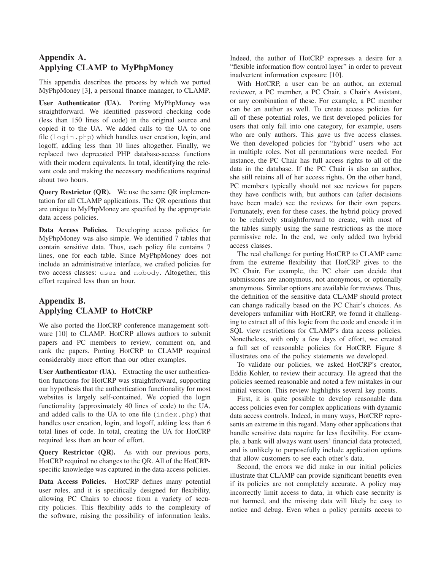# **Appendix A. Applying CLAMP to MyPhpMoney**

This appendix describes the process by which we ported MyPhpMoney [3], a personal finance manager, to CLAMP.

**User Authenticator (UA).** Porting MyPhpMoney was straightforward. We identified password checking code (less than 150 lines of code) in the original source and copied it to the UA. We added calls to the UA to one file (login.php) which handles user creation, login, and logoff, adding less than 10 lines altogether. Finally, we replaced two deprecated PHP database-access functions with their modern equivalents. In total, identifying the relevant code and making the necessary modifications required about two hours.

**Query Restrictor (QR).** We use the same QR implementation for all CLAMP applications. The QR operations that are unique to MyPhpMoney are specified by the appropriate data access policies.

Data Access Policies. Developing access policies for MyPhpMoney was also simple. We identified 7 tables that contain sensitive data. Thus, each policy file contains 7 lines, one for each table. Since MyPhpMoney does not include an administrative interface, we crafted policies for two access classes: user and nobody. Altogether, this effort required less than an hour.

# **Appendix B. Applying CLAMP to HotCRP**

We also ported the HotCRP conference management software [10] to CLAMP. HotCRP allows authors to submit papers and PC members to review, comment on, and rank the papers. Porting HotCRP to CLAMP required considerably more effort than our other examples.

**User Authenticator (UA).** Extracting the user authentication functions for HotCRP was straightforward, supporting our hypothesis that the authentication functionality for most websites is largely self-contained. We copied the login functionality (approximately 40 lines of code) to the UA, and added calls to the UA to one file (index.php) that handles user creation, login, and logoff, adding less than 6 total lines of code. In total, creating the UA for HotCRP required less than an hour of effort.

Query Restrictor (QR). As with our previous ports, HotCRP required no changes to the QR. All of the HotCRPspecific knowledge was captured in the data-access policies.

**Data Access Policies.** HotCRP defines many potential user roles, and it is specifically designed for flexibility, allowing PC Chairs to choose from a variety of security policies. This flexibility adds to the complexity of the software, raising the possibility of information leaks.

Indeed, the author of HotCRP expresses a desire for a "flexible information flow control layer" in order to prevent inadvertent information exposure [10].

With HotCRP, a user can be an author, an external reviewer, a PC member, a PC Chair, a Chair's Assistant, or any combination of these. For example, a PC member can be an author as well. To create access policies for all of these potential roles, we first developed policies for users that only fall into one category, for example, users who are only authors. This gave us five access classes. We then developed policies for "hybrid" users who act in multiple roles. Not all permutations were needed. For instance, the PC Chair has full access rights to all of the data in the database. If the PC Chair is also an author, she still retains all of her access rights. On the other hand, PC members typically should not see reviews for papers they have conflicts with, but authors can (after decisions have been made) see the reviews for their own papers. Fortunately, even for these cases, the hybrid policy proved to be relatively straightforward to create, with most of the tables simply using the same restrictions as the more permissive role. In the end, we only added two hybrid access classes.

The real challenge for porting HotCRP to CLAMP came from the extreme flexibility that HotCRP gives to the PC Chair. For example, the PC chair can decide that submissions are anonymous, not anonymous, or optionally anonymous. Similar options are available for reviews. Thus, the definition of the sensitive data CLAMP should protect can change radically based on the PC Chair's choices. As developers unfamiliar with HotCRP, we found it challenging to extract all of this logic from the code and encode it in SQL view restrictions for CLAMP's data access policies. Nonetheless, with only a few days of effort, we created a full set of reasonable policies for HotCRP. Figure 8 illustrates one of the policy statements we developed.

To validate our policies, we asked HotCRP's creator, Eddie Kohler, to review their accuracy. He agreed that the policies seemed reasonable and noted a few mistakes in our initial version. This review highlights several key points.

First, it is quite possible to develop reasonable data access policies even for complex applications with dynamic data access controls. Indeed, in many ways, HotCRP represents an extreme in this regard. Many other applications that handle sensitive data require far less flexibility. For example, a bank will always want users' financial data protected, and is unlikely to purposefully include application options that allow customers to see each other's data.

Second, the errors we did make in our initial policies illustrate that CLAMP can provide significant benefits even if its policies are not completely accurate. A policy may incorrectly limit access to data, in which case security is not harmed, and the missing data will likely be easy to notice and debug. Even when a policy permits access to